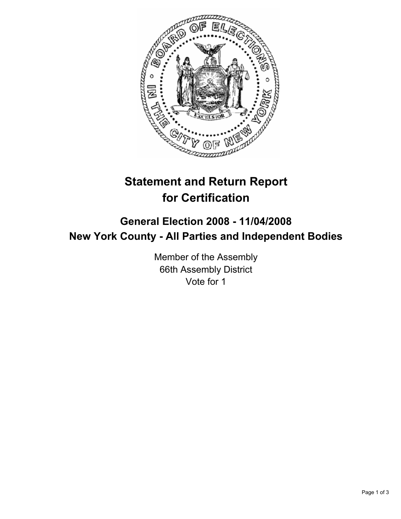

# **Statement and Return Report for Certification**

## **General Election 2008 - 11/04/2008 New York County - All Parties and Independent Bodies**

Member of the Assembly 66th Assembly District Vote for 1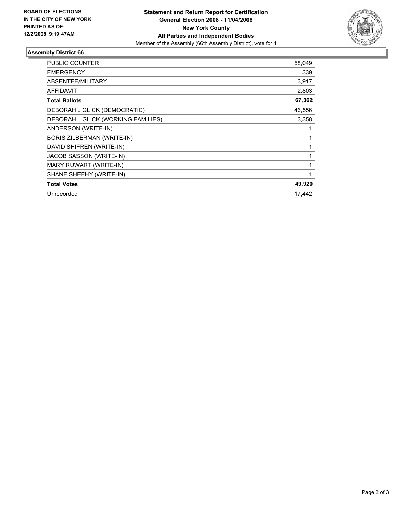

### **Assembly District 66**

| <b>PUBLIC COUNTER</b>              | 58,049 |
|------------------------------------|--------|
| <b>EMERGENCY</b>                   | 339    |
| ABSENTEE/MILITARY                  | 3,917  |
| <b>AFFIDAVIT</b>                   | 2,803  |
| <b>Total Ballots</b>               | 67,362 |
| DEBORAH J GLICK (DEMOCRATIC)       | 46,556 |
| DEBORAH J GLICK (WORKING FAMILIES) | 3,358  |
| ANDERSON (WRITE-IN)                |        |
| <b>BORIS ZILBERMAN (WRITE-IN)</b>  |        |
| DAVID SHIFREN (WRITE-IN)           |        |
| JACOB SASSON (WRITE-IN)            |        |
| MARY RUWART (WRITE-IN)             |        |
| SHANE SHEEHY (WRITE-IN)            |        |
| <b>Total Votes</b>                 | 49,920 |
| Unrecorded                         | 17,442 |